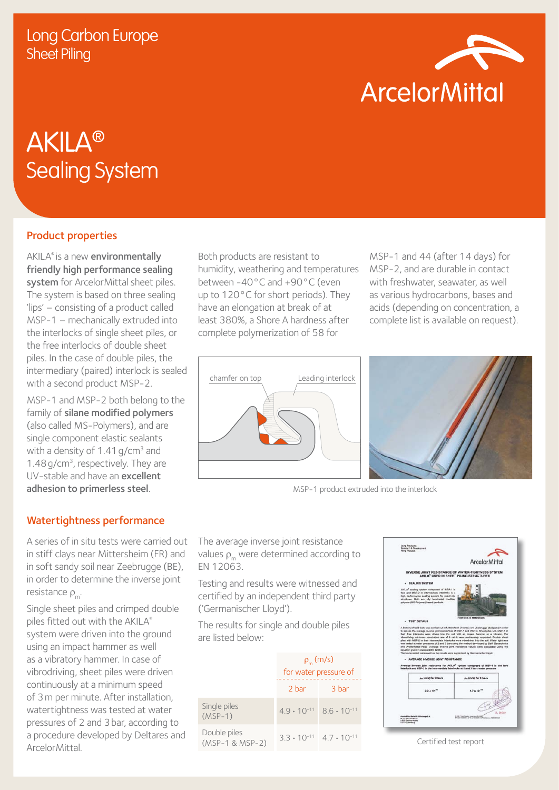

# AKILA® Sealing System

## Product properties

AKILA® is a new environmentally friendly high performance sealing system for ArcelorMittal sheet piles. The system is based on three sealing 'lips' – consisting of a product called MSP-1 – mechanically extruded into the interlocks of single sheet piles, or the free interlocks of double sheet piles. In the case of double piles, the intermediary (paired) interlock is sealed with a second product MSP-2.

MSP-1 and MSP-2 both belong to the family of silane modified polymers (also called MS-Polymers), and are single component elastic sealants with a density of  $1.41$  g/cm<sup>3</sup> and 1.48 $q/cm<sup>3</sup>$ , respectively. They are UV-stable and have an excellent adhesion to primerless steel.

## Watertightness performance

A series of in situ tests were carried out in stiff clays near Mittersheim (FR) and in soft sandy soil near Zeebrugge (BE), in order to determine the inverse joint resistance  $\rho$ .

Single sheet piles and crimped double piles fitted out with the AKILA® system were driven into the ground using an impact hammer as well as a vibratory hammer. In case of vibrodriving, sheet piles were driven continuously at a minimum speed of 3m per minute. After installation, watertightness was tested at water pressures of 2 and 3bar, according to a procedure developed by Deltares and ArcelorMittal.

Both products are resistant to humidity, weathering and temperatures between -40°C and +90°C (even up to 120°C for short periods). They have an elongation at break of at least 380%, a Shore A hardness after complete polymerization of 58 for

MSP-1 and 44 (after 14 days) for MSP-2, and are durable in contact with freshwater, seawater, as well as various hydrocarbons, bases and acids (depending on concentration, a complete list is available on request).





MSP-1 product extruded into the interlock

The average inverse joint resistance values  $\rho_{m}$  were determined according to EN 12063.

Testing and results were witnessed and certified by an independent third party ('Germanischer Lloyd').

The results for single and double piles are listed below:

|                                 | $\rho_{m}$ (m/s)<br>for water pressure of |       |
|---------------------------------|-------------------------------------------|-------|
|                                 | 2 bar                                     | 3 bar |
| Single piles<br>$(MSP-1)$       | $49 \cdot 10^{-11}$ 86.10 <sup>-11</sup>  |       |
| Double piles<br>(MSP-1 & MSP-2) | $3.3 \cdot 10^{-11}$ $4.7 \cdot 10^{-11}$ |       |



Certified test report